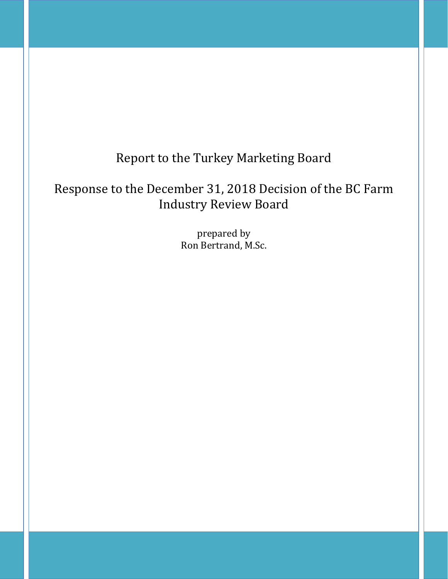# Report to the Turkey Marketing Board

# Response to the December 31, 2018 Decision of the BC Farm Industry Review Board

prepared by Ron Bertrand, M.Sc.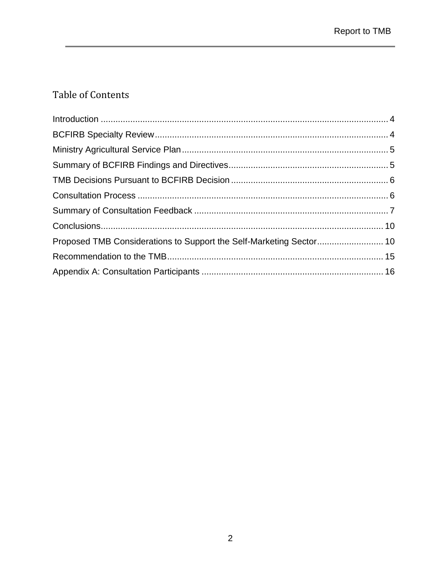# Table of Contents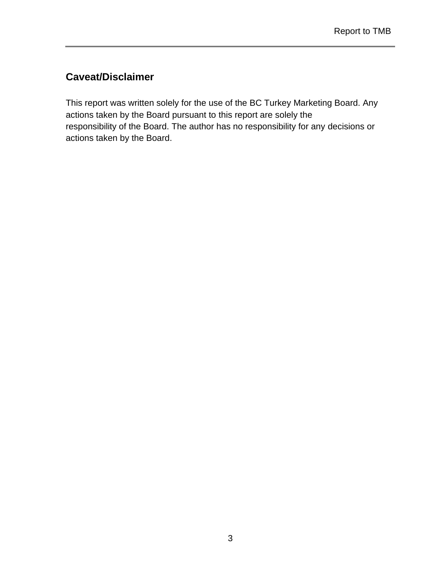# **Caveat/Disclaimer**

This report was written solely for the use of the BC Turkey Marketing Board. Any actions taken by the Board pursuant to this report are solely the responsibility of the Board. The author has no responsibility for any decisions or actions taken by the Board.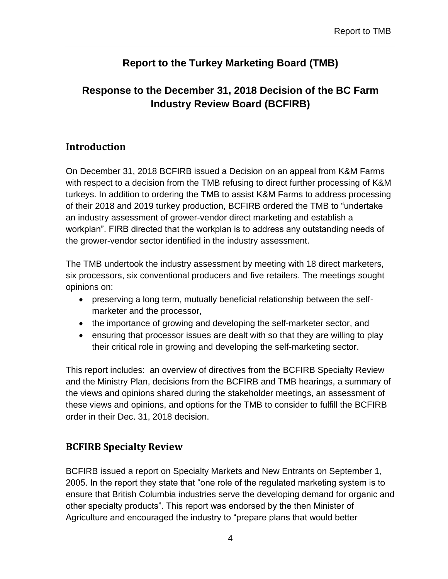# **Report to the Turkey Marketing Board (TMB)**

# **Response to the December 31, 2018 Decision of the BC Farm Industry Review Board (BCFIRB)**

### <span id="page-3-0"></span>**Introduction**

On December 31, 2018 BCFIRB issued a Decision on an appeal from K&M Farms with respect to a decision from the TMB refusing to direct further processing of K&M turkeys. In addition to ordering the TMB to assist K&M Farms to address processing of their 2018 and 2019 turkey production, BCFIRB ordered the TMB to "undertake an industry assessment of grower-vendor direct marketing and establish a workplan". FIRB directed that the workplan is to address any outstanding needs of the grower-vendor sector identified in the industry assessment.

The TMB undertook the industry assessment by meeting with 18 direct marketers, six processors, six conventional producers and five retailers. The meetings sought opinions on:

- preserving a long term, mutually beneficial relationship between the selfmarketer and the processor,
- the importance of growing and developing the self-marketer sector, and
- ensuring that processor issues are dealt with so that they are willing to play their critical role in growing and developing the self-marketing sector.

This report includes: an overview of directives from the BCFIRB Specialty Review and the Ministry Plan, decisions from the BCFIRB and TMB hearings, a summary of the views and opinions shared during the stakeholder meetings, an assessment of these views and opinions, and options for the TMB to consider to fulfill the BCFIRB order in their Dec. 31, 2018 decision.

# <span id="page-3-1"></span>**BCFIRB Specialty Review**

BCFIRB issued a report on Specialty Markets and New Entrants on September 1, 2005. In the report they state that "one role of the regulated marketing system is to ensure that British Columbia industries serve the developing demand for organic and other specialty products". This report was endorsed by the then Minister of Agriculture and encouraged the industry to "prepare plans that would better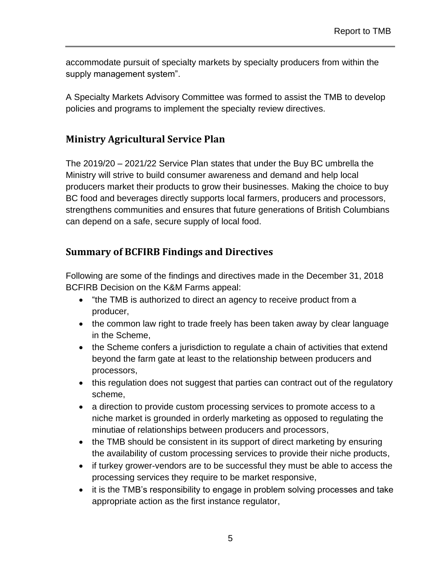accommodate pursuit of specialty markets by specialty producers from within the supply management system".

A Specialty Markets Advisory Committee was formed to assist the TMB to develop policies and programs to implement the specialty review directives.

# <span id="page-4-0"></span>**Ministry Agricultural Service Plan**

The 2019/20 – 2021/22 Service Plan states that under the Buy BC umbrella the Ministry will strive to build consumer awareness and demand and help local producers market their products to grow their businesses. Making the choice to buy BC food and beverages directly supports local farmers, producers and processors, strengthens communities and ensures that future generations of British Columbians can depend on a safe, secure supply of local food.

### <span id="page-4-1"></span>**Summary of BCFIRB Findings and Directives**

Following are some of the findings and directives made in the December 31, 2018 BCFIRB Decision on the K&M Farms appeal:

- "the TMB is authorized to direct an agency to receive product from a producer,
- the common law right to trade freely has been taken away by clear language in the Scheme,
- the Scheme confers a jurisdiction to regulate a chain of activities that extend beyond the farm gate at least to the relationship between producers and processors,
- this regulation does not suggest that parties can contract out of the regulatory scheme,
- a direction to provide custom processing services to promote access to a niche market is grounded in orderly marketing as opposed to regulating the minutiae of relationships between producers and processors,
- the TMB should be consistent in its support of direct marketing by ensuring the availability of custom processing services to provide their niche products,
- if turkey grower-vendors are to be successful they must be able to access the processing services they require to be market responsive,
- it is the TMB's responsibility to engage in problem solving processes and take appropriate action as the first instance regulator,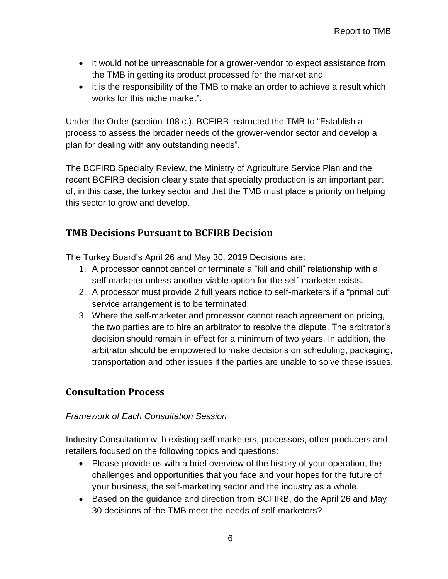- it would not be unreasonable for a grower-vendor to expect assistance from the TMB in getting its product processed for the market and
- it is the responsibility of the TMB to make an order to achieve a result which works for this niche market".

Under the Order (section 108 c.), BCFIRB instructed the TMB to "Establish a process to assess the broader needs of the grower-vendor sector and develop a plan for dealing with any outstanding needs".

The BCFIRB Specialty Review, the Ministry of Agriculture Service Plan and the recent BCFIRB decision clearly state that specialty production is an important part of, in this case, the turkey sector and that the TMB must place a priority on helping this sector to grow and develop.

### <span id="page-5-0"></span>**TMB Decisions Pursuant to BCFIRB Decision**

The Turkey Board's April 26 and May 30, 2019 Decisions are:

- 1. A processor cannot cancel or terminate a "kill and chill" relationship with a self-marketer unless another viable option for the self-marketer exists.
- 2. A processor must provide 2 full years notice to self-marketers if a "primal cut" service arrangement is to be terminated.
- 3. Where the self-marketer and processor cannot reach agreement on pricing, the two parties are to hire an arbitrator to resolve the dispute. The arbitrator's decision should remain in effect for a minimum of two years. In addition, the arbitrator should be empowered to make decisions on scheduling, packaging, transportation and other issues if the parties are unable to solve these issues.

# <span id="page-5-1"></span>**Consultation Process**

#### *Framework of Each Consultation Session*

Industry Consultation with existing self-marketers, processors, other producers and retailers focused on the following topics and questions:

- Please provide us with a brief overview of the history of your operation, the challenges and opportunities that you face and your hopes for the future of your business, the self-marketing sector and the industry as a whole.
- Based on the guidance and direction from BCFIRB, do the April 26 and May 30 decisions of the TMB meet the needs of self-marketers?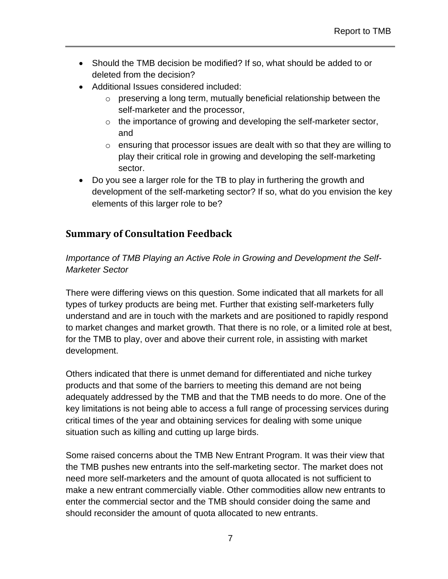- Should the TMB decision be modified? If so, what should be added to or deleted from the decision?
- Additional Issues considered included:
	- $\circ$  preserving a long term, mutually beneficial relationship between the self-marketer and the processor,
	- $\circ$  the importance of growing and developing the self-marketer sector, and
	- $\circ$  ensuring that processor issues are dealt with so that they are willing to play their critical role in growing and developing the self-marketing sector.
- Do you see a larger role for the TB to play in furthering the growth and development of the self-marketing sector? If so, what do you envision the key elements of this larger role to be?

# <span id="page-6-0"></span>**Summary of Consultation Feedback**

*Importance of TMB Playing an Active Role in Growing and Development the Self-Marketer Sector*

There were differing views on this question. Some indicated that all markets for all types of turkey products are being met. Further that existing self-marketers fully understand and are in touch with the markets and are positioned to rapidly respond to market changes and market growth. That there is no role, or a limited role at best, for the TMB to play, over and above their current role, in assisting with market development.

Others indicated that there is unmet demand for differentiated and niche turkey products and that some of the barriers to meeting this demand are not being adequately addressed by the TMB and that the TMB needs to do more. One of the key limitations is not being able to access a full range of processing services during critical times of the year and obtaining services for dealing with some unique situation such as killing and cutting up large birds.

Some raised concerns about the TMB New Entrant Program. It was their view that the TMB pushes new entrants into the self-marketing sector. The market does not need more self-marketers and the amount of quota allocated is not sufficient to make a new entrant commercially viable. Other commodities allow new entrants to enter the commercial sector and the TMB should consider doing the same and should reconsider the amount of quota allocated to new entrants.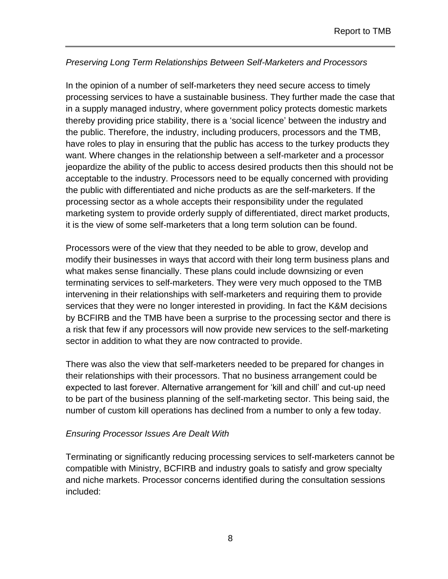#### *Preserving Long Term Relationships Between Self-Marketers and Processors*

In the opinion of a number of self-marketers they need secure access to timely processing services to have a sustainable business. They further made the case that in a supply managed industry, where government policy protects domestic markets thereby providing price stability, there is a 'social licence' between the industry and the public. Therefore, the industry, including producers, processors and the TMB, have roles to play in ensuring that the public has access to the turkey products they want. Where changes in the relationship between a self-marketer and a processor jeopardize the ability of the public to access desired products then this should not be acceptable to the industry. Processors need to be equally concerned with providing the public with differentiated and niche products as are the self-marketers. If the processing sector as a whole accepts their responsibility under the regulated marketing system to provide orderly supply of differentiated, direct market products, it is the view of some self-marketers that a long term solution can be found.

Processors were of the view that they needed to be able to grow, develop and modify their businesses in ways that accord with their long term business plans and what makes sense financially. These plans could include downsizing or even terminating services to self-marketers. They were very much opposed to the TMB intervening in their relationships with self-marketers and requiring them to provide services that they were no longer interested in providing. In fact the K&M decisions by BCFIRB and the TMB have been a surprise to the processing sector and there is a risk that few if any processors will now provide new services to the self-marketing sector in addition to what they are now contracted to provide.

There was also the view that self-marketers needed to be prepared for changes in their relationships with their processors. That no business arrangement could be expected to last forever. Alternative arrangement for 'kill and chill' and cut-up need to be part of the business planning of the self-marketing sector. This being said, the number of custom kill operations has declined from a number to only a few today.

#### *Ensuring Processor Issues Are Dealt With*

Terminating or significantly reducing processing services to self-marketers cannot be compatible with Ministry, BCFIRB and industry goals to satisfy and grow specialty and niche markets. Processor concerns identified during the consultation sessions included: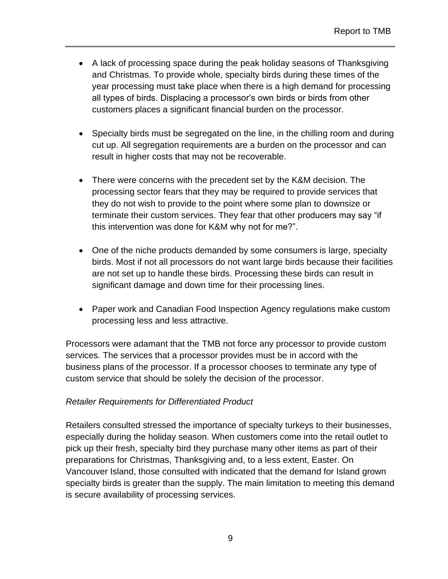- A lack of processing space during the peak holiday seasons of Thanksgiving and Christmas. To provide whole, specialty birds during these times of the year processing must take place when there is a high demand for processing all types of birds. Displacing a processor's own birds or birds from other customers places a significant financial burden on the processor.
- Specialty birds must be segregated on the line, in the chilling room and during cut up. All segregation requirements are a burden on the processor and can result in higher costs that may not be recoverable.
- There were concerns with the precedent set by the K&M decision. The processing sector fears that they may be required to provide services that they do not wish to provide to the point where some plan to downsize or terminate their custom services. They fear that other producers may say "if this intervention was done for K&M why not for me?".
- One of the niche products demanded by some consumers is large, specialty birds. Most if not all processors do not want large birds because their facilities are not set up to handle these birds. Processing these birds can result in significant damage and down time for their processing lines.
- Paper work and Canadian Food Inspection Agency regulations make custom processing less and less attractive.

Processors were adamant that the TMB not force any processor to provide custom services. The services that a processor provides must be in accord with the business plans of the processor. If a processor chooses to terminate any type of custom service that should be solely the decision of the processor.

#### *Retailer Requirements for Differentiated Product*

Retailers consulted stressed the importance of specialty turkeys to their businesses, especially during the holiday season. When customers come into the retail outlet to pick up their fresh, specialty bird they purchase many other items as part of their preparations for Christmas, Thanksgiving and, to a less extent, Easter. On Vancouver Island, those consulted with indicated that the demand for Island grown specialty birds is greater than the supply. The main limitation to meeting this demand is secure availability of processing services.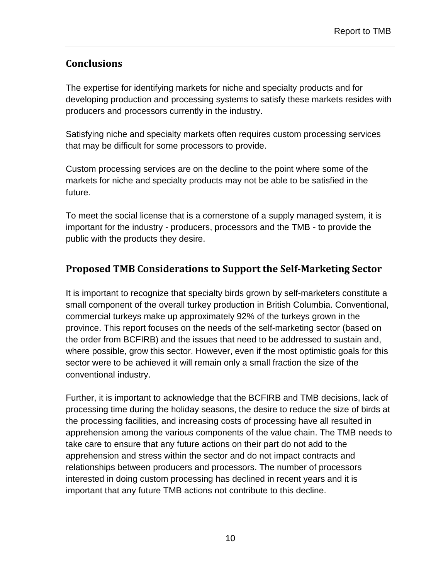# <span id="page-9-0"></span>**Conclusions**

The expertise for identifying markets for niche and specialty products and for developing production and processing systems to satisfy these markets resides with producers and processors currently in the industry.

Satisfying niche and specialty markets often requires custom processing services that may be difficult for some processors to provide.

Custom processing services are on the decline to the point where some of the markets for niche and specialty products may not be able to be satisfied in the future.

To meet the social license that is a cornerstone of a supply managed system, it is important for the industry - producers, processors and the TMB - to provide the public with the products they desire.

# <span id="page-9-1"></span>**Proposed TMB Considerations to Support the Self-Marketing Sector**

It is important to recognize that specialty birds grown by self-marketers constitute a small component of the overall turkey production in British Columbia. Conventional, commercial turkeys make up approximately 92% of the turkeys grown in the province. This report focuses on the needs of the self-marketing sector (based on the order from BCFIRB) and the issues that need to be addressed to sustain and, where possible, grow this sector. However, even if the most optimistic goals for this sector were to be achieved it will remain only a small fraction the size of the conventional industry.

Further, it is important to acknowledge that the BCFIRB and TMB decisions, lack of processing time during the holiday seasons, the desire to reduce the size of birds at the processing facilities, and increasing costs of processing have all resulted in apprehension among the various components of the value chain. The TMB needs to take care to ensure that any future actions on their part do not add to the apprehension and stress within the sector and do not impact contracts and relationships between producers and processors. The number of processors interested in doing custom processing has declined in recent years and it is important that any future TMB actions not contribute to this decline.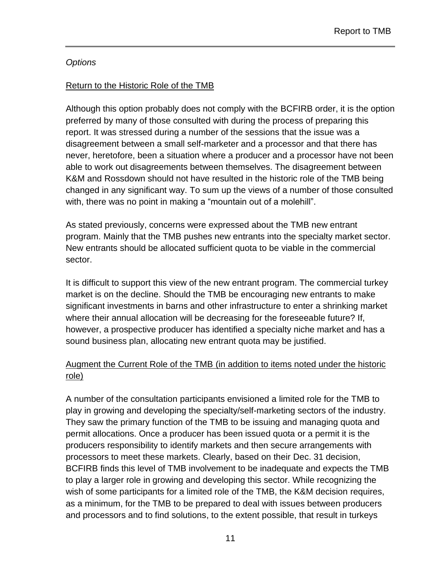#### *Options*

#### Return to the Historic Role of the TMB

Although this option probably does not comply with the BCFIRB order, it is the option preferred by many of those consulted with during the process of preparing this report. It was stressed during a number of the sessions that the issue was a disagreement between a small self-marketer and a processor and that there has never, heretofore, been a situation where a producer and a processor have not been able to work out disagreements between themselves. The disagreement between K&M and Rossdown should not have resulted in the historic role of the TMB being changed in any significant way. To sum up the views of a number of those consulted with, there was no point in making a "mountain out of a molehill".

As stated previously, concerns were expressed about the TMB new entrant program. Mainly that the TMB pushes new entrants into the specialty market sector. New entrants should be allocated sufficient quota to be viable in the commercial sector.

It is difficult to support this view of the new entrant program. The commercial turkey market is on the decline. Should the TMB be encouraging new entrants to make significant investments in barns and other infrastructure to enter a shrinking market where their annual allocation will be decreasing for the foreseeable future? If, however, a prospective producer has identified a specialty niche market and has a sound business plan, allocating new entrant quota may be justified.

#### Augment the Current Role of the TMB (in addition to items noted under the historic role)

A number of the consultation participants envisioned a limited role for the TMB to play in growing and developing the specialty/self-marketing sectors of the industry. They saw the primary function of the TMB to be issuing and managing quota and permit allocations. Once a producer has been issued quota or a permit it is the producers responsibility to identify markets and then secure arrangements with processors to meet these markets. Clearly, based on their Dec. 31 decision, BCFIRB finds this level of TMB involvement to be inadequate and expects the TMB to play a larger role in growing and developing this sector. While recognizing the wish of some participants for a limited role of the TMB, the K&M decision requires, as a minimum, for the TMB to be prepared to deal with issues between producers and processors and to find solutions, to the extent possible, that result in turkeys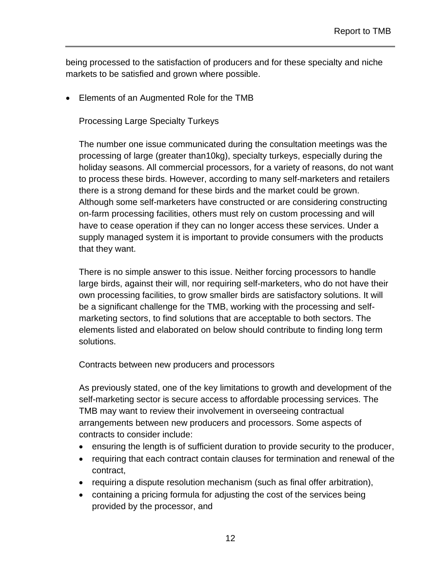being processed to the satisfaction of producers and for these specialty and niche markets to be satisfied and grown where possible.

• Elements of an Augmented Role for the TMB

Processing Large Specialty Turkeys

The number one issue communicated during the consultation meetings was the processing of large (greater than10kg), specialty turkeys, especially during the holiday seasons. All commercial processors, for a variety of reasons, do not want to process these birds. However, according to many self-marketers and retailers there is a strong demand for these birds and the market could be grown. Although some self-marketers have constructed or are considering constructing on-farm processing facilities, others must rely on custom processing and will have to cease operation if they can no longer access these services. Under a supply managed system it is important to provide consumers with the products that they want.

There is no simple answer to this issue. Neither forcing processors to handle large birds, against their will, nor requiring self-marketers, who do not have their own processing facilities, to grow smaller birds are satisfactory solutions. It will be a significant challenge for the TMB, working with the processing and selfmarketing sectors, to find solutions that are acceptable to both sectors. The elements listed and elaborated on below should contribute to finding long term solutions.

Contracts between new producers and processors

As previously stated, one of the key limitations to growth and development of the self-marketing sector is secure access to affordable processing services. The TMB may want to review their involvement in overseeing contractual arrangements between new producers and processors. Some aspects of contracts to consider include:

- ensuring the length is of sufficient duration to provide security to the producer,
- requiring that each contract contain clauses for termination and renewal of the contract,
- requiring a dispute resolution mechanism (such as final offer arbitration),
- containing a pricing formula for adjusting the cost of the services being provided by the processor, and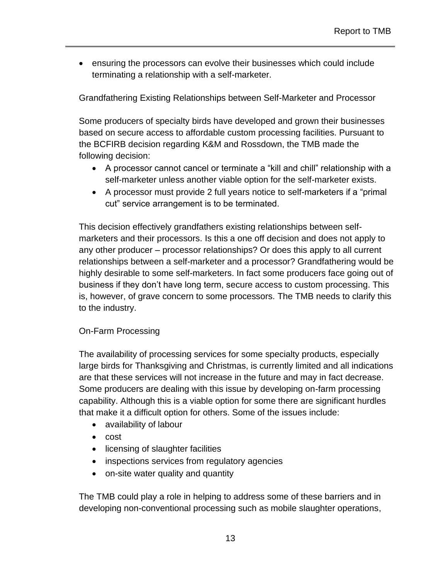• ensuring the processors can evolve their businesses which could include terminating a relationship with a self-marketer.

Grandfathering Existing Relationships between Self-Marketer and Processor

Some producers of specialty birds have developed and grown their businesses based on secure access to affordable custom processing facilities. Pursuant to the BCFIRB decision regarding K&M and Rossdown, the TMB made the following decision:

- A processor cannot cancel or terminate a "kill and chill" relationship with a self-marketer unless another viable option for the self-marketer exists.
- A processor must provide 2 full years notice to self-marketers if a "primal cut" service arrangement is to be terminated.

This decision effectively grandfathers existing relationships between selfmarketers and their processors. Is this a one off decision and does not apply to any other producer – processor relationships? Or does this apply to all current relationships between a self-marketer and a processor? Grandfathering would be highly desirable to some self-marketers. In fact some producers face going out of business if they don't have long term, secure access to custom processing. This is, however, of grave concern to some processors. The TMB needs to clarify this to the industry.

#### On-Farm Processing

The availability of processing services for some specialty products, especially large birds for Thanksgiving and Christmas, is currently limited and all indications are that these services will not increase in the future and may in fact decrease. Some producers are dealing with this issue by developing on-farm processing capability. Although this is a viable option for some there are significant hurdles that make it a difficult option for others. Some of the issues include:

- availability of labour
- cost
- licensing of slaughter facilities
- inspections services from regulatory agencies
- on-site water quality and quantity

The TMB could play a role in helping to address some of these barriers and in developing non-conventional processing such as mobile slaughter operations,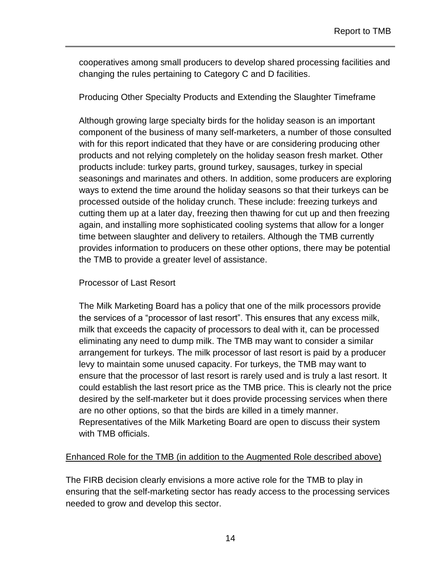cooperatives among small producers to develop shared processing facilities and changing the rules pertaining to Category C and D facilities.

Producing Other Specialty Products and Extending the Slaughter Timeframe

Although growing large specialty birds for the holiday season is an important component of the business of many self-marketers, a number of those consulted with for this report indicated that they have or are considering producing other products and not relying completely on the holiday season fresh market. Other products include: turkey parts, ground turkey, sausages, turkey in special seasonings and marinates and others. In addition, some producers are exploring ways to extend the time around the holiday seasons so that their turkeys can be processed outside of the holiday crunch. These include: freezing turkeys and cutting them up at a later day, freezing then thawing for cut up and then freezing again, and installing more sophisticated cooling systems that allow for a longer time between slaughter and delivery to retailers. Although the TMB currently provides information to producers on these other options, there may be potential the TMB to provide a greater level of assistance.

#### Processor of Last Resort

The Milk Marketing Board has a policy that one of the milk processors provide the services of a "processor of last resort". This ensures that any excess milk, milk that exceeds the capacity of processors to deal with it, can be processed eliminating any need to dump milk. The TMB may want to consider a similar arrangement for turkeys. The milk processor of last resort is paid by a producer levy to maintain some unused capacity. For turkeys, the TMB may want to ensure that the processor of last resort is rarely used and is truly a last resort. It could establish the last resort price as the TMB price. This is clearly not the price desired by the self-marketer but it does provide processing services when there are no other options, so that the birds are killed in a timely manner. Representatives of the Milk Marketing Board are open to discuss their system with TMB officials.

#### Enhanced Role for the TMB (in addition to the Augmented Role described above)

The FIRB decision clearly envisions a more active role for the TMB to play in ensuring that the self-marketing sector has ready access to the processing services needed to grow and develop this sector.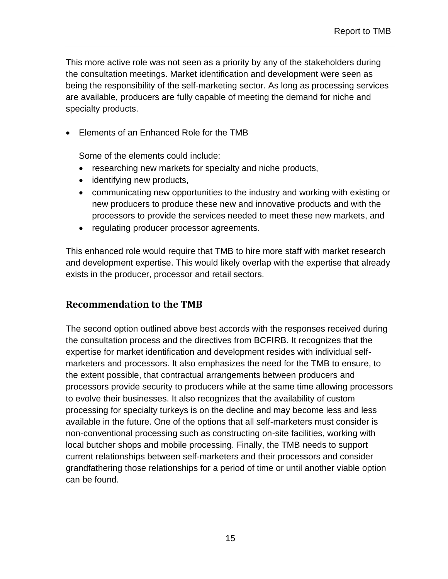This more active role was not seen as a priority by any of the stakeholders during the consultation meetings. Market identification and development were seen as being the responsibility of the self-marketing sector. As long as processing services are available, producers are fully capable of meeting the demand for niche and specialty products.

• Elements of an Enhanced Role for the TMB

Some of the elements could include:

- researching new markets for specialty and niche products,
- identifying new products,
- communicating new opportunities to the industry and working with existing or new producers to produce these new and innovative products and with the processors to provide the services needed to meet these new markets, and
- regulating producer processor agreements.

This enhanced role would require that TMB to hire more staff with market research and development expertise. This would likely overlap with the expertise that already exists in the producer, processor and retail sectors.

### <span id="page-14-0"></span>**Recommendation to the TMB**

The second option outlined above best accords with the responses received during the consultation process and the directives from BCFIRB. It recognizes that the expertise for market identification and development resides with individual selfmarketers and processors. It also emphasizes the need for the TMB to ensure, to the extent possible, that contractual arrangements between producers and processors provide security to producers while at the same time allowing processors to evolve their businesses. It also recognizes that the availability of custom processing for specialty turkeys is on the decline and may become less and less available in the future. One of the options that all self-marketers must consider is non-conventional processing such as constructing on-site facilities, working with local butcher shops and mobile processing. Finally, the TMB needs to support current relationships between self-marketers and their processors and consider grandfathering those relationships for a period of time or until another viable option can be found.